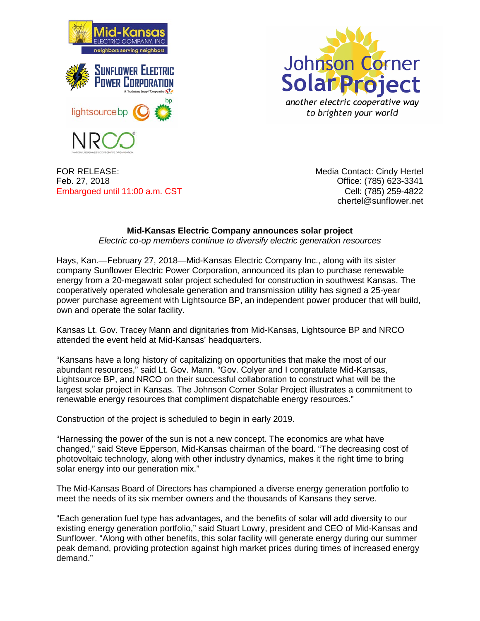



FOR RELEASE: The Media Contact: Cindy Hertel Feb. 27, 2018 Office: (785) 623-3341 Embargoed until 11:00 a.m. CST Cell: (785) 259-4822

chertel@sunflower.net

# **Mid-Kansas Electric Company announces solar project**

*Electric co-op members continue to diversify electric generation resources*

Hays, Kan.—February 27, 2018—Mid-Kansas Electric Company Inc., along with its sister company Sunflower Electric Power Corporation, announced its plan to purchase renewable energy from a 20-megawatt solar project scheduled for construction in southwest Kansas. The cooperatively operated wholesale generation and transmission utility has signed a 25-year power purchase agreement with Lightsource BP, an independent power producer that will build, own and operate the solar facility.

Kansas Lt. Gov. Tracey Mann and dignitaries from Mid-Kansas, Lightsource BP and NRCO attended the event held at Mid-Kansas' headquarters.

"Kansans have a long history of capitalizing on opportunities that make the most of our abundant resources," said Lt. Gov. Mann. "Gov. Colyer and I congratulate Mid-Kansas, Lightsource BP, and NRCO on their successful collaboration to construct what will be the largest solar project in Kansas. The Johnson Corner Solar Project illustrates a commitment to renewable energy resources that compliment dispatchable energy resources."

Construction of the project is scheduled to begin in early 2019.

"Harnessing the power of the sun is not a new concept. The economics are what have changed," said Steve Epperson, Mid-Kansas chairman of the board. "The decreasing cost of photovoltaic technology, along with other industry dynamics, makes it the right time to bring solar energy into our generation mix."

The Mid-Kansas Board of Directors has championed a diverse energy generation portfolio to meet the needs of its six member owners and the thousands of Kansans they serve.

"Each generation fuel type has advantages, and the benefits of solar will add diversity to our existing energy generation portfolio," said Stuart Lowry, president and CEO of Mid-Kansas and Sunflower. "Along with other benefits, this solar facility will generate energy during our summer peak demand, providing protection against high market prices during times of increased energy demand."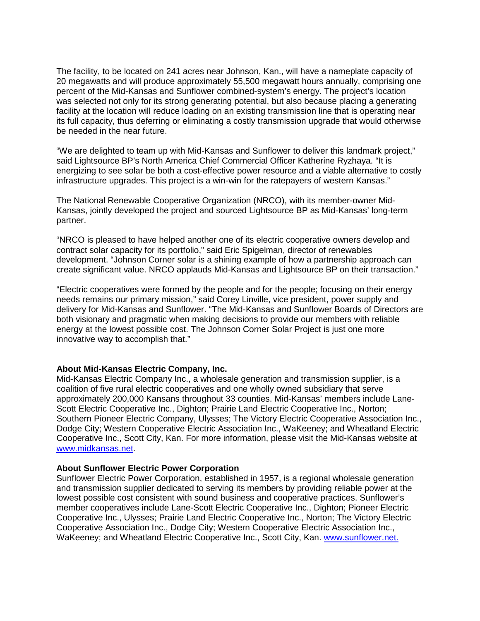The facility, to be located on 241 acres near Johnson, Kan., will have a nameplate capacity of 20 megawatts and will produce approximately 55,500 megawatt hours annually, comprising one percent of the Mid-Kansas and Sunflower combined-system's energy. The project's location was selected not only for its strong generating potential, but also because placing a generating facility at the location will reduce loading on an existing transmission line that is operating near its full capacity, thus deferring or eliminating a costly transmission upgrade that would otherwise be needed in the near future.

"We are delighted to team up with Mid-Kansas and Sunflower to deliver this landmark project," said Lightsource BP's North America Chief Commercial Officer Katherine Ryzhaya. "It is energizing to see solar be both a cost-effective power resource and a viable alternative to costly infrastructure upgrades. This project is a win-win for the ratepayers of western Kansas."

The National Renewable Cooperative Organization (NRCO), with its member-owner Mid-Kansas, jointly developed the project and sourced Lightsource BP as Mid-Kansas' long-term partner.

"NRCO is pleased to have helped another one of its electric cooperative owners develop and contract solar capacity for its portfolio," said Eric Spigelman, director of renewables development. "Johnson Corner solar is a shining example of how a partnership approach can create significant value. NRCO applauds Mid-Kansas and Lightsource BP on their transaction."

"Electric cooperatives were formed by the people and for the people; focusing on their energy needs remains our primary mission," said Corey Linville, vice president, power supply and delivery for Mid-Kansas and Sunflower. "The Mid-Kansas and Sunflower Boards of Directors are both visionary and pragmatic when making decisions to provide our members with reliable energy at the lowest possible cost. The Johnson Corner Solar Project is just one more innovative way to accomplish that."

### **About Mid-Kansas Electric Company, Inc.**

Mid-Kansas Electric Company Inc., a wholesale generation and transmission supplier, is a coalition of five rural electric cooperatives and one wholly owned subsidiary that serve approximately 200,000 Kansans throughout 33 counties. Mid-Kansas' members include Lane-Scott Electric Cooperative Inc., Dighton; Prairie Land Electric Cooperative Inc., Norton; Southern Pioneer Electric Company, Ulysses; The Victory Electric Cooperative Association Inc., Dodge City; Western Cooperative Electric Association Inc., WaKeeney; and Wheatland Electric Cooperative Inc., Scott City, Kan. For more information, please visit the Mid-Kansas website at [www.midkansas.net.](http://www.midkansas.net/)

### **About Sunflower Electric Power Corporation**

Sunflower Electric Power Corporation, established in 1957, is a regional wholesale generation and transmission supplier dedicated to serving its members by providing reliable power at the lowest possible cost consistent with sound business and cooperative practices. Sunflower's member cooperatives include Lane-Scott Electric Cooperative Inc., Dighton; Pioneer Electric Cooperative Inc., Ulysses; Prairie Land Electric Cooperative Inc., Norton; The Victory Electric Cooperative Association Inc., Dodge City; Western Cooperative Electric Association Inc., WaKeeney; and Wheatland Electric Cooperative Inc., Scott City, Kan. [www.sunflower.net.](http://www.sunflower.net/)